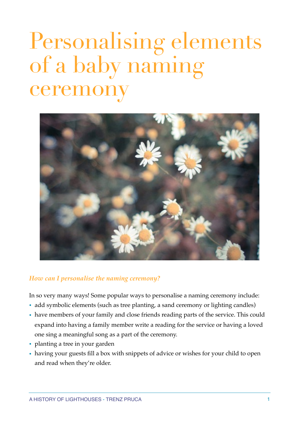# Personalising elements of a baby naming ceremon



## *How can I personalise the naming ceremony?*

In so very many ways! Some popular ways to personalise a naming ceremony include:

- add symbolic elements (such as tree planting, a sand ceremony or lighting candles)
- have members of your family and close friends reading parts of the service. This could expand into having a family member write a reading for the service or having a loved one sing a meaningful song as a part of the ceremony.
- planting a tree in your garden
- having your guests fill a box with snippets of advice or wishes for your child to open and read when they're older.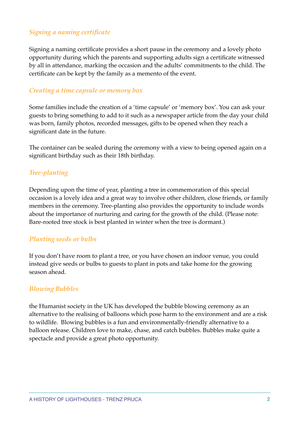# *Signing a naming certificate*

Signing a naming certificate provides a short pause in the ceremony and a lovely photo opportunity during which the parents and supporting adults sign a certificate witnessed by all in attendance, marking the occasion and the adults' commitments to the child. The certificate can be kept by the family as a memento of the event.

## *Creating a time capsule or memory box*

Some families include the creation of a 'time capsule' or 'memory box'. You can ask your guests to bring something to add to it such as a newspaper article from the day your child was born, family photos, recorded messages, gifts to be opened when they reach a significant date in the future.

The container can be sealed during the ceremony with a view to being opened again on a significant birthday such as their 18th birthday.

# *Tree-planting*

Depending upon the time of year, planting a tree in commemoration of this special occasion is a lovely idea and a great way to involve other children, close friends, or family members in the ceremony. Tree-planting also provides the opportunity to include words about the importance of nurturing and caring for the growth of the child. (Please note: Bare-rooted tree stock is best planted in winter when the tree is dormant.)

## *Planting seeds or bulbs*

If you don't have room to plant a tree, or you have chosen an indoor venue, you could instead give seeds or bulbs to guests to plant in pots and take home for the growing season ahead.

#### *Blowing Bubbles*

the Humanist society in the UK has developed the bubble blowing ceremony as an alternative to the realising of balloons which pose harm to the environment and are a risk to wildlife. Blowing bubbles is a fun and environmentally-friendly alternative to a balloon release. Children love to make, chase, and catch bubbles. Bubbles make quite a spectacle and provide a great photo opportunity.